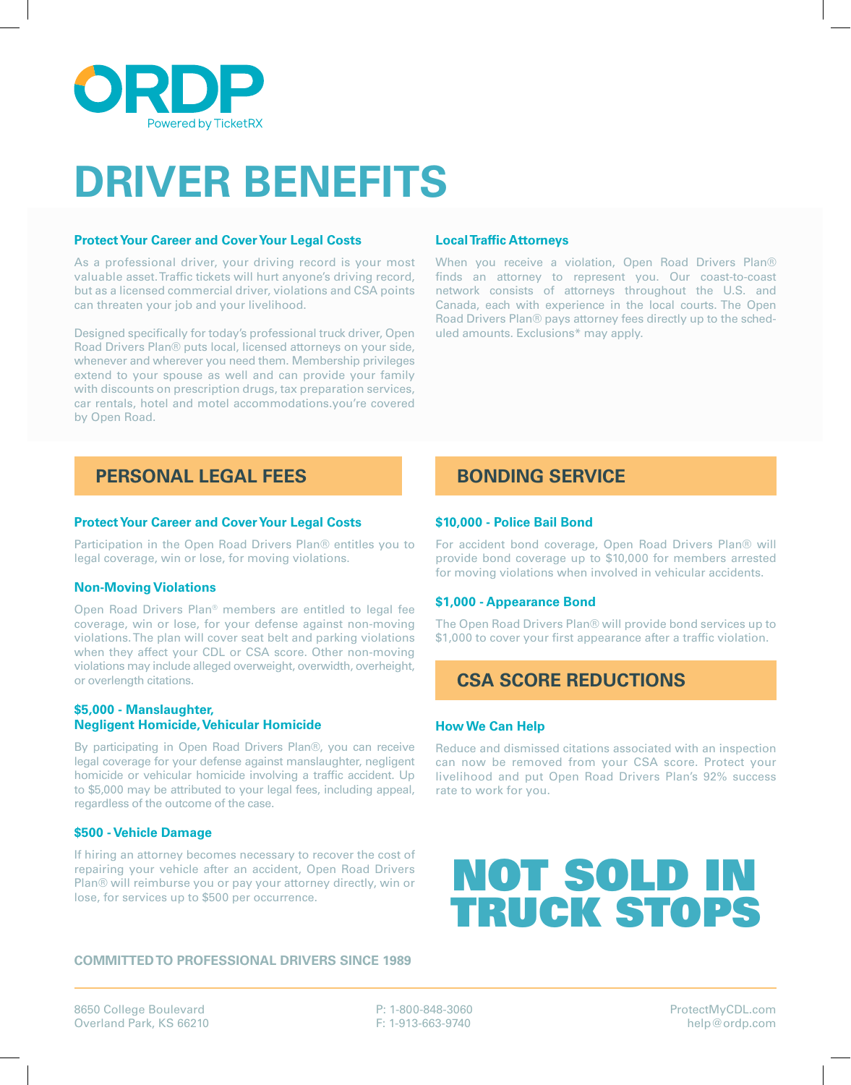

# **DRIVER BENEFITS**

## **Protect Your Career and Cover Your Legal Costs**

As a professional driver, your driving record is your most valuable asset. Traffic tickets will hurt anyone's driving record, but as a licensed commercial driver, violations and CSA points can threaten your job and your livelihood.

Designed specifically for today's professional truck driver, Open Road Drivers Plan® puts local, licensed attorneys on your side, whenever and wherever you need them. Membership privileges extend to your spouse as well and can provide your family with discounts on prescription drugs, tax preparation services, car rentals, hotel and motel accommodations.you're covered by Open Road.

## **PERSONAL LEGAL FEES BONDING SERVICE**

## **Protect Your Career and Cover Your Legal Costs**

Participation in the Open Road Drivers Plan® entitles you to legal coverage, win or lose, for moving violations.

#### **Non-Moving Violations**

Open Road Drivers Plan® members are entitled to legal fee coverage, win or lose, for your defense against non-moving violations. The plan will cover seat belt and parking violations when they affect your CDL or CSA score. Other non-moving violations may include alleged overweight, overwidth, overheight, or overlength citations.

## **\$5,000 - Manslaughter, Negligent Homicide, Vehicular Homicide**

By participating in Open Road Drivers Plan®, you can receive legal coverage for your defense against manslaughter, negligent homicide or vehicular homicide involving a traffic accident. Up to \$5,000 may be attributed to your legal fees, including appeal, regardless of the outcome of the case.

## **\$500 - Vehicle Damage**

If hiring an attorney becomes necessary to recover the cost of repairing your vehicle after an accident, Open Road Drivers Plan® will reimburse you or pay your attorney directly, win or lose, for services up to \$500 per occurrence.

## **Local Traffic Attorneys**

When you receive a violation, Open Road Drivers Plan® finds an attorney to represent you. Our coast-to-coast network consists of attorneys throughout the U.S. and Canada, each with experience in the local courts. The Open Road Drivers Plan® pays attorney fees directly up to the scheduled amounts. Exclusions\* may apply.

## **\$10,000 - Police Bail Bond**

For accident bond coverage, Open Road Drivers Plan® will provide bond coverage up to \$10,000 for members arrested for moving violations when involved in vehicular accidents.

#### **\$1,000 - Appearance Bond**

The Open Road Drivers Plan® will provide bond services up to \$1,000 to cover your first appearance after a traffic violation.

## **CSA SCORE REDUCTIONS**

#### **How We Can Help**

Reduce and dismissed citations associated with an inspection can now be removed from your CSA score. Protect your livelihood and put Open Road Drivers Plan's 92% success rate to work for you.

## NOT SOLD IN TRUCK STOPS

## **COMMITTED TO PROFESSIONAL DRIVERS SINCE 1989**

8650 College Boulevard Overland Park, KS 66210 P: 1-800-848-3060 F: 1-913-663-9740

ProtectMyCDL.com help@ordp.com